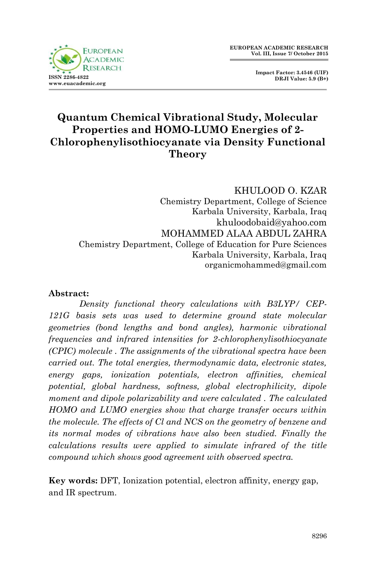

 **Impact Factor: 3.4546 (UIF) DRJI Value: 5.9 (B+)**

# **Quantum Chemical Vibrational Study, Molecular Properties and HOMO-LUMO Energies of 2- Chlorophenylisothiocyanate via Density Functional Theory**

### KHULOOD O. KZAR

Chemistry Department, College of Science Karbala University, Karbala, Iraq khuloodobaid@yahoo.com MOHAMMED ALAA ABDUL ZAHRA Chemistry Department, College of Education for Pure Sciences Karbala University, Karbala, Iraq organicmohammed@gmail.com

#### **Abstract:**

*Density functional theory calculations with B3LYP/ CEP-121G basis sets was used to determine ground state molecular geometries (bond lengths and bond angles), harmonic vibrational frequencies and infrared intensities for 2-chlorophenylisothiocyanate (CPIC) molecule . The assignments of the vibrational spectra have been carried out. The total energies, thermodynamic data, electronic states, energy gaps, ionization potentials, electron affinities, chemical potential, global hardness, softness, global electrophilicity, dipole moment and dipole polarizability and were calculated. The calculated HOMO and LUMO energies show that charge transfer occurs within the molecule. The effects of Cl and NCS on the geometry of benzene and its normal modes of vibrations have also been studied. Finally the calculations results were applied to simulate infrared of the title compound which shows good agreement with observed spectra.*

**Key words:** DFT, Ionization potential, electron affinity, energy gap, and IR spectrum.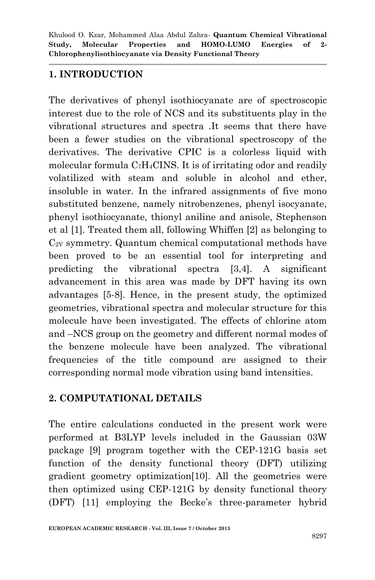## **1. INTRODUCTION**

The derivatives of phenyl isothiocyanate are of spectroscopic interest due to the role of NCS and its substituents play in the vibrational structures and spectra .It seems that there have been a fewer studies on the vibrational spectroscopy of the derivatives. The derivative CPIC is a colorless liquid with molecular formula C7H4CINS. It is of irritating odor and readily volatilized with steam and soluble in alcohol and ether, insoluble in water. In the infrared assignments of five mono substituted benzene, namely nitrobenzenes, phenyl isocyanate, phenyl isothiocyanate, thionyl aniline and anisole, Stephenson et al [1]. Treated them all, following Whiffen [2] as belonging to  $C_{2V}$  symmetry. Quantum chemical computational methods have been proved to be an essential tool for interpreting and predicting the vibrational spectra [3,4]. A significant advancement in this area was made by DFT having its own advantages [5-8]. Hence, in the present study, the optimized geometries, vibrational spectra and molecular structure for this molecule have been investigated. The effects of chlorine atom and –NCS group on the geometry and different normal modes of the benzene molecule have been analyzed. The vibrational frequencies of the title compound are assigned to their corresponding normal mode vibration using band intensities.

# **2. COMPUTATIONAL DETAILS**

The entire calculations conducted in the present work were performed at B3LYP levels included in the Gaussian 03W package [9] program together with the CEP-121G basis set function of the density functional theory (DFT) utilizing gradient geometry optimization[10]. All the geometries were then optimized using CEP-121G by density functional theory (DFT) [11] employing the Becke's three-parameter hybrid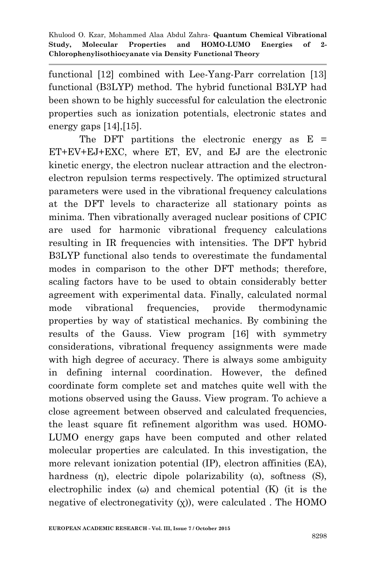functional [12] combined with Lee-Yang-Parr correlation [13] functional (B3LYP) method. The hybrid functional B3LYP had been shown to be highly successful for calculation the electronic properties such as ionization potentials, electronic states and energy gaps [14],[15].

The DFT partitions the electronic energy as  $E =$ ET+EV+EJ+EXC, where ET, EV, and EJ are the electronic kinetic energy, the electron nuclear attraction and the electronelectron repulsion terms respectively. The optimized structural parameters were used in the vibrational frequency calculations at the DFT levels to characterize all stationary points as minima. Then vibrationally averaged nuclear positions of CPIC are used for harmonic vibrational frequency calculations resulting in IR frequencies with intensities. The DFT hybrid B3LYP functional also tends to overestimate the fundamental modes in comparison to the other DFT methods; therefore, scaling factors have to be used to obtain considerably better agreement with experimental data. Finally, calculated normal mode vibrational frequencies, provide thermodynamic properties by way of statistical mechanics. By combining the results of the Gauss. View program [16] with symmetry considerations, vibrational frequency assignments were made with high degree of accuracy. There is always some ambiguity in defining internal coordination. However, the defined coordinate form complete set and matches quite well with the motions observed using the Gauss. View program. To achieve a close agreement between observed and calculated frequencies, the least square fit refinement algorithm was used. HOMO-LUMO energy gaps have been computed and other related molecular properties are calculated. In this investigation, the more relevant ionization potential (IP), electron affinities (EA), hardness (η), electric dipole polarizability (α), softness (S), electrophilic index  $(\omega)$  and chemical potential  $(K)$  (it is the negative of electronegativity  $(x)$ ), were calculated. The HOMO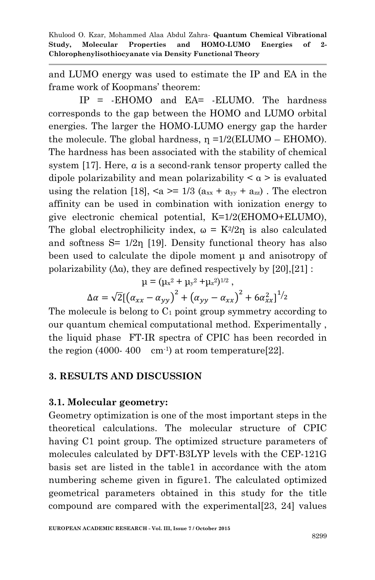and LUMO energy was used to estimate the IP and EA in the frame work of Koopmans' theorem:

IP = -EHOMO and EA= -ELUMO. The hardness corresponds to the gap between the HOMO and LUMO orbital energies. The larger the HOMO-LUMO energy gap the harder the molecule. The global hardness,  $\eta = 1/2(ELUMO - EHOMO)$ . The hardness has been associated with the stability of chemical system [17]. Here, *α* is a second-rank tensor property called the dipole polarizability and mean polarizability  $\alpha$  is evaluated using the relation [18],  $\langle a \rangle = 1/3$  ( $a_{xx} + a_{yy} + a_{zz}$ ). The electron affinity can be used in combination with ionization energy to give electronic chemical potential, K=1/2(EHOMO+ELUMO), The global electrophilicity index,  $\omega = K^2/2\eta$  is also calculated and softness  $S = \frac{1}{2n}$  [19]. Density functional theory has also been used to calculate the dipole moment μ and anisotropy of polarizability ( $\Delta \alpha$ ), they are defined respectively by [20], [21] :

$$
\mu = (\mu x^2 + \mu y^2 + \mu z^2)^{1/2} \; ,
$$

$$
\Delta \alpha = \sqrt{2} [(\alpha_{xx} - \alpha_{yy})^2 + (\alpha_{yy} - \alpha_{xx})^2 + 6\alpha_{xx}^2]^{1/2}
$$

The molecule is belong to  $C_1$  point group symmetry according to our quantum chemical computational method. Experimentally , the liquid phase FT-IR spectra of CPIC has been recorded in the region (4000-400 cm<sup>-1</sup>) at room temperature[22].

### **3. RESULTS AND DISCUSSION**

### **3.1. Molecular geometry:**

Geometry optimization is one of the most important steps in the theoretical calculations. The molecular structure of CPIC having C1 point group. The optimized structure parameters of molecules calculated by DFT-B3LYP levels with the CEP-121G basis set are listed in the table1 in accordance with the atom numbering scheme given in figure1. The calculated optimized geometrical parameters obtained in this study for the title compound are compared with the experimental[23, 24] values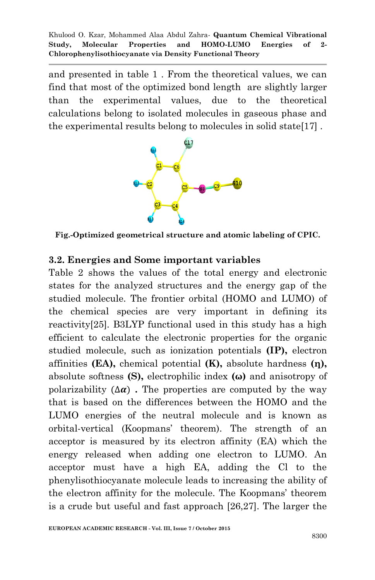and presented in table 1 . From the theoretical values, we can find that most of the optimized bond length are slightly larger than the experimental values, due to the theoretical calculations belong to isolated molecules in gaseous phase and the experimental results belong to molecules in solid state[17] .



**Fig.-Optimized geometrical structure and atomic labeling of CPIC.**

#### **3.2. Energies and Some important variables**

Table 2 shows the values of the total energy and electronic states for the analyzed structures and the energy gap of the studied molecule. The frontier orbital (HOMO and LUMO) of the chemical species are very important in defining its reactivity[25]. B3LYP functional used in this study has a high efficient to calculate the electronic properties for the organic studied molecule, such as ionization potentials **(IP),** electron affinities **(EA),** chemical potential **(K),** absolute hardness **(η),** absolute softness **(S),** electrophilic index **(ω)** and anisotropy of polarizability  $(\Delta \alpha)$ . The properties are computed by the way that is based on the differences between the HOMO and the LUMO energies of the neutral molecule and is known as orbital-vertical (Koopmans' theorem). The strength of an acceptor is measured by its electron affinity (EA) which the energy released when adding one electron to LUMO. An acceptor must have a high EA, adding the Cl to the phenylisothiocyanate molecule leads to increasing the ability of the electron affinity for the molecule. The Koopmans' theorem is a crude but useful and fast approach [26,27]. The larger the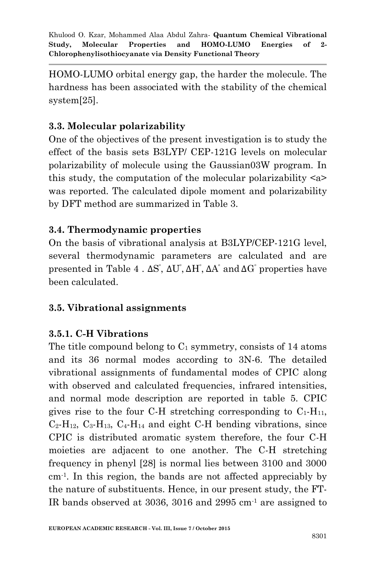HOMO-LUMO orbital energy gap, the harder the molecule. The hardness has been associated with the stability of the chemical system[25].

# **3.3. Molecular polarizability**

One of the objectives of the present investigation is to study the effect of the basis sets B3LYP/ CEP-121G levels on molecular polarizability of molecule using the Gaussian03W program. In this study, the computation of the molecular polarizability <a> was reported. The calculated dipole moment and polarizability by DFT method are summarized in Table 3.

## **3.4. Thermodynamic properties**

On the basis of vibrational analysis at B3LYP/CEP-121G level, several thermodynamic parameters are calculated and are presented in Table 4.  $\Delta S^{\prime}$ ,  $\Delta U^{\prime}$ ,  $\Delta H^{\prime}$ ,  $\Delta A^{\prime}$  and  $\Delta G^{\prime}$  properties have been calculated.

# **3.5. Vibrational assignments**

# **3.5.1. C-H Vibrations**

The title compound belong to  $C_1$  symmetry, consists of 14 atoms and its 36 normal modes according to 3N-6. The detailed vibrational assignments of fundamental modes of CPIC along with observed and calculated frequencies, infrared intensities, and normal mode description are reported in table 5. CPIC gives rise to the four C-H stretching corresponding to  $C_1$ -H<sub>11</sub>,  $C_2$ -H<sub>12</sub>,  $C_3$ -H<sub>13</sub>,  $C_4$ -H<sub>14</sub> and eight C-H bending vibrations, since CPIC is distributed aromatic system therefore, the four C-H moieties are adjacent to one another. The C-H stretching frequency in phenyl [28] is normal lies between 3100 and 3000 cm-1 . In this region, the bands are not affected appreciably by the nature of substituents. Hence, in our present study, the FT-IR bands observed at 3036, 3016 and 2995 cm-1 are assigned to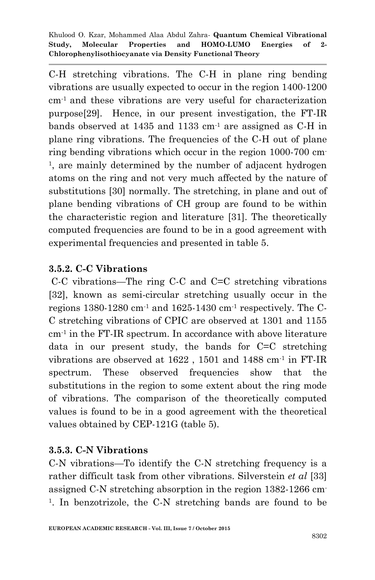C-H stretching vibrations. The C-H in plane ring bending vibrations are usually expected to occur in the region 1400-1200 cm-1 and these vibrations are very useful for characterization purpose[29]. Hence, in our present investigation, the FT-IR bands observed at  $1435$  and  $1133$  cm<sup>-1</sup> are assigned as C-H in plane ring vibrations. The frequencies of the C-H out of plane ring bending vibrations which occur in the region 1000-700 cm-<sup>1</sup>, are mainly determined by the number of adjacent hydrogen atoms on the ring and not very much affected by the nature of substitutions [30] normally. The stretching, in plane and out of plane bending vibrations of CH group are found to be within the characteristic region and literature [31]. The theoretically computed frequencies are found to be in a good agreement with experimental frequencies and presented in table 5.

### **3.5.2. C-C Vibrations**

C-C vibrations—The ring C-C and C=C stretching vibrations [32], known as semi-circular stretching usually occur in the regions  $1380-1280$  cm<sup>-1</sup> and  $1625-1430$  cm<sup>-1</sup> respectively. The C-C stretching vibrations of CPIC are observed at 1301 and 1155 cm-1 in the FT-IR spectrum. In accordance with above literature data in our present study, the bands for C=C stretching vibrations are observed at 1622 , 1501 and 1488 cm-1 in FT-IR spectrum. These observed frequencies show that the substitutions in the region to some extent about the ring mode of vibrations. The comparison of the theoretically computed values is found to be in a good agreement with the theoretical values obtained by CEP-121G (table 5).

### **3.5.3. C-N Vibrations**

C-N vibrations—To identify the C-N stretching frequency is a rather difficult task from other vibrations. Silverstein *et al* [33] assigned C-N stretching absorption in the region 1382-1266 cm-<sup>1</sup>. In benzotrizole, the C-N stretching bands are found to be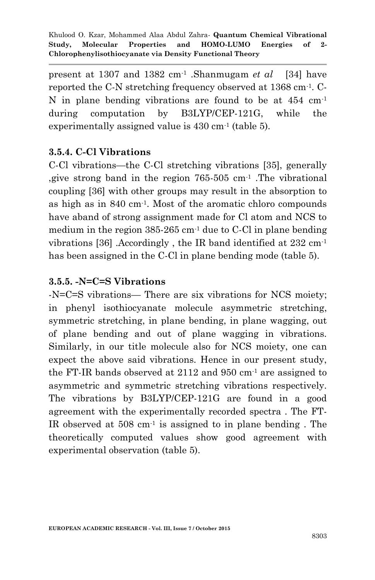present at 1307 and 1382 cm-1 .Shanmugam *et al* [34] have reported the C-N stretching frequency observed at 1368 cm-1 . C-N in plane bending vibrations are found to be at 454 cm-1 during computation by B3LYP/CEP-121G, while the experimentally assigned value is 430 cm-1 (table 5).

### **3.5.4. C-Cl Vibrations**

C-Cl vibrations—the C-Cl stretching vibrations [35], generally , give strong band in the region  $765-505$  cm<sup>-1</sup>. The vibrational coupling [36] with other groups may result in the absorption to as high as in 840 cm-1 . Most of the aromatic chloro compounds have aband of strong assignment made for Cl atom and NCS to medium in the region  $385-265$  cm<sup>-1</sup> due to C-Cl in plane bending vibrations [36] .Accordingly , the IR band identified at 232 cm-1 has been assigned in the C-Cl in plane bending mode (table 5).

### **3.5.5. -N=C=S Vibrations**

-N=C=S vibrations— There are six vibrations for NCS moiety; in phenyl isothiocyanate molecule asymmetric stretching, symmetric stretching, in plane bending, in plane wagging, out of plane bending and out of plane wagging in vibrations. Similarly, in our title molecule also for NCS moiety, one can expect the above said vibrations. Hence in our present study, the FT-IR bands observed at 2112 and 950 cm-1 are assigned to asymmetric and symmetric stretching vibrations respectively. The vibrations by B3LYP/CEP-121G are found in a good agreement with the experimentally recorded spectra . The FT-IR observed at 508 cm-1 is assigned to in plane bending . The theoretically computed values show good agreement with experimental observation (table 5).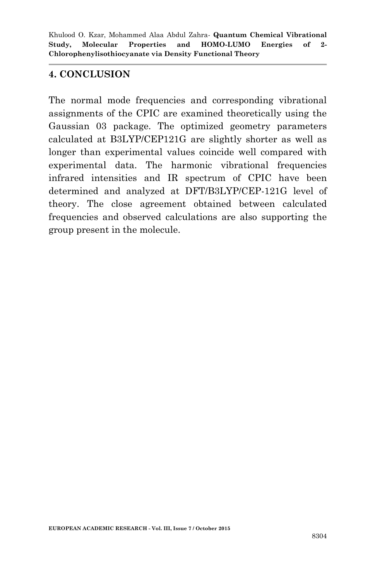### **4. CONCLUSION**

The normal mode frequencies and corresponding vibrational assignments of the CPIC are examined theoretically using the Gaussian 03 package. The optimized geometry parameters calculated at B3LYP/CEP121G are slightly shorter as well as longer than experimental values coincide well compared with experimental data. The harmonic vibrational frequencies infrared intensities and IR spectrum of CPIC have been determined and analyzed at DFT/B3LYP/CEP-121G level of theory. The close agreement obtained between calculated frequencies and observed calculations are also supporting the group present in the molecule.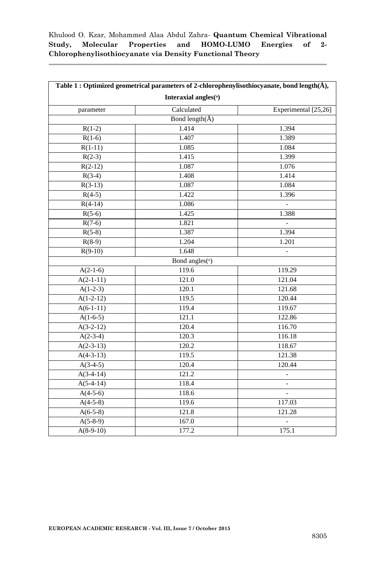| Table 1 : Optimized geometrical parameters of 2-chlorophenylisothiocyanate, bond length(Å), |                      |                          |  |
|---------------------------------------------------------------------------------------------|----------------------|--------------------------|--|
| Interaxial angles(°)                                                                        |                      |                          |  |
| parameter                                                                                   | Calculated           | Experimental [25,26]     |  |
|                                                                                             | Bond length( $\AA$ ) |                          |  |
| $R(1-2)$                                                                                    | 1.414                | 1.394                    |  |
| $R(1-6)$                                                                                    | 1.407                | 1.389                    |  |
| $R(1-11)$                                                                                   | 1.085                | 1.084                    |  |
| $R(2-3)$                                                                                    | 1.415                | 1.399                    |  |
| $R(2-12)$                                                                                   | 1.087                | 1.076                    |  |
| $R(3-4)$                                                                                    | 1.408                | 1.414                    |  |
| $R(3-13)$                                                                                   | 1.087                | 1.084                    |  |
| $R(4-5)$                                                                                    | 1.422                | 1.396                    |  |
| $R(4-14)$                                                                                   | 1.086                |                          |  |
| $R(5-6)$                                                                                    | 1.425                | 1.388                    |  |
| $R(7-6)$                                                                                    | 1.821                | $\overline{\phantom{a}}$ |  |
| $R(5-8)$                                                                                    | 1.387                | 1.394                    |  |
| $R(8-9)$                                                                                    | 1.204                | 1.201                    |  |
| $R(9-10)$                                                                                   | 1.648                | $\overline{\phantom{a}}$ |  |
|                                                                                             | Bond angles(°)       |                          |  |
| $A(2-1-6)$                                                                                  | 119.6                | 119.29                   |  |
| $A(2-1-11)$                                                                                 | 121.0                | 121.04                   |  |
| $A(1-2-3)$                                                                                  | 120.1                | 121.68                   |  |
| $A(1-2-12)$                                                                                 | 119.5                | 120.44                   |  |
| $A(6-1-11)$                                                                                 | 119.4                | 119.67                   |  |
| $A(1-6-5)$                                                                                  | 121.1                | 122.86                   |  |
| $A(3-2-12)$                                                                                 | 120.4                | 116.70                   |  |
| $A(2-3-4)$                                                                                  | 120.3                | 116.18                   |  |
| $A(2-3-13)$                                                                                 | 120.2                | 118.67                   |  |
| $A(4-3-13)$                                                                                 | 119.5                | 121.38                   |  |
| $A(3-4-5)$                                                                                  | 120.4                | 120.44                   |  |
| $A(3-4-14)$                                                                                 | 121.2                |                          |  |
| $A(5-4-14)$                                                                                 | 118.4                |                          |  |
| $A(4-5-6)$                                                                                  | 118.6                | $\overline{a}$           |  |
| $A(4-5-8)$                                                                                  | 119.6                | 117.03                   |  |
| $A(6-5-8)$                                                                                  | 121.8                | 121.28                   |  |
| $A(5-8-9)$                                                                                  | 167.0                |                          |  |
| $A(8-9-10)$                                                                                 | 177.2                | 175.1                    |  |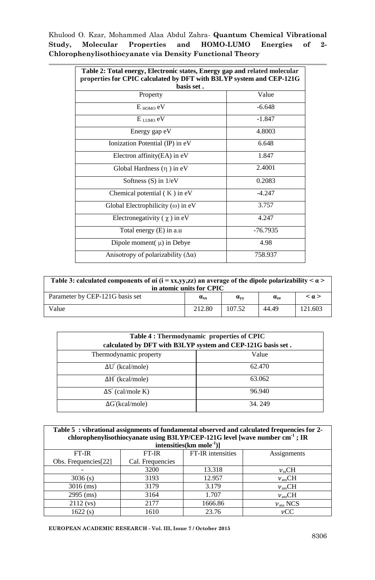| Table 2: Total energy, Electronic states, Energy gap and related molecular<br>properties for CPIC calculated by DFT with B3LYP system and CEP-121G |            |  |
|----------------------------------------------------------------------------------------------------------------------------------------------------|------------|--|
| basis set.                                                                                                                                         |            |  |
| Property                                                                                                                                           | Value      |  |
| $E_{HOMO}$ eV                                                                                                                                      | $-6.648$   |  |
| $E_{\text{LIMO}}$ eV                                                                                                                               | $-1.847$   |  |
| Energy gap eV                                                                                                                                      | 4.8003     |  |
| Ionization Potential (IP) in eV                                                                                                                    | 6.648      |  |
| Electron affinity $(EA)$ in eV                                                                                                                     | 1.847      |  |
| Global Hardness $(\eta)$ in eV                                                                                                                     | 2.4001     |  |
| Softness $(S)$ in $1/eV$                                                                                                                           | 0.2083     |  |
| Chemical potential $(K)$ in eV                                                                                                                     | $-4.247$   |  |
| Global Electrophilicity ( $\omega$ ) in eV                                                                                                         | 3.757      |  |
| Electronegativity $(\gamma)$ in eV                                                                                                                 | 4.247      |  |
| Total energy (E) in a.u                                                                                                                            | $-76.7935$ |  |
| Dipole moment $(\mu)$ in Debye                                                                                                                     | 4.98       |  |
| Anisotropy of polarizability $(\Delta \alpha)$                                                                                                     | 758.937    |  |

| Table 3: calculated components of $\alpha i$ (i = xx,yy,zz) an average of the dipole polarizability $\alpha >$<br>in atomic units for CPIC |                                     |          |                                     |                     |
|--------------------------------------------------------------------------------------------------------------------------------------------|-------------------------------------|----------|-------------------------------------|---------------------|
| Parameter by CEP-121G basis set                                                                                                            | $\mathbf{a}_{\mathbf{x}\mathbf{x}}$ | $a_{yy}$ | $\mathbf{a}_{\mathbf{z}\mathbf{z}}$ | $\leq$ $\alpha$ $>$ |
| Value                                                                                                                                      | 212.80                              | 107.52   | 44.49                               | 121.603             |

| Table 4 : Thermodynamic properties of CPIC<br>calculated by DFT with B3LYP system and CEP-121G basis set. |        |  |
|-----------------------------------------------------------------------------------------------------------|--------|--|
| Thermodynamic property                                                                                    | Value  |  |
| $\Delta U^{\circ}$ (kcal/mole)                                                                            | 62.470 |  |
| $\Delta H^{\circ}$ (kcal/mole)                                                                            | 63.062 |  |
| $\Delta S^{\circ}$ (cal/mole K)                                                                           | 96.940 |  |
| $\Delta G^{\circ}$ (kcal/mole)                                                                            | 34.249 |  |

| Table 5: vibrational assignments of fundamental observed and calculated frequencies for 2-<br>chlorophenylisothiocyanate using B3LYP/CEP-121G level [wave number cm <sup>-1</sup> ; IR<br>intensities $(km \, mole^{-1})$ ] |                  |                   |                   |
|-----------------------------------------------------------------------------------------------------------------------------------------------------------------------------------------------------------------------------|------------------|-------------------|-------------------|
| $FT-IR$                                                                                                                                                                                                                     | FT-IR            | FT-IR intensities | Assignments       |
| Obs. Frequencies <sup>[22]</sup>                                                                                                                                                                                            | Cal. Frequencies |                   |                   |
|                                                                                                                                                                                                                             | 3200             | 13.318            | $v_{ss}CH$        |
| 3036(s)                                                                                                                                                                                                                     | 3193             | 12.957            | $v_{ass}CH$       |
| $3016$ (ms)                                                                                                                                                                                                                 | 3179             | 3.179             | $v_{\rm asc}CH$   |
| $2995$ (ms)                                                                                                                                                                                                                 | 3164             | 1.707             | $v_{ass}CH$       |
| $2112$ (vs)                                                                                                                                                                                                                 | 2177             | 1666.86           | $v_{\rm ass}$ NCS |
| 1622(s)                                                                                                                                                                                                                     | 1610             | 23.76             | $\nu$ CC          |

**EUROPEAN ACADEMIC RESEARCH - Vol. III, Issue 7 / October 2015**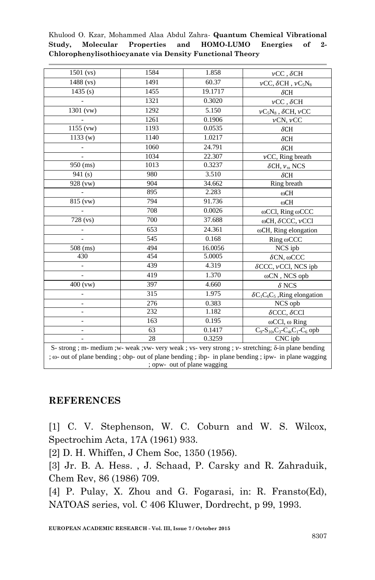| $1501$ (vs)                                                                                                                                                                                                                 | 1584 | 1.858   | $\nu CC$ , $\delta CH$                         |
|-----------------------------------------------------------------------------------------------------------------------------------------------------------------------------------------------------------------------------|------|---------|------------------------------------------------|
| $1488$ (vs)                                                                                                                                                                                                                 | 1491 | 60.37   | $\nu CC, \delta CH, \nu C_5 N_8$               |
| 1435(s)                                                                                                                                                                                                                     | 1455 | 19.1717 | $\delta$ CH                                    |
|                                                                                                                                                                                                                             | 1321 | 0.3020  | $\nu CC$ , $\delta CH$                         |
| 1301 (vw)                                                                                                                                                                                                                   | 1292 | 5.150   | $\nu C_5N_8$ , $\delta$ CH, $\nu$ CC           |
|                                                                                                                                                                                                                             | 1261 | 0.1906  | $\nu$ CN, $\nu$ CC                             |
| $1155$ (vw)                                                                                                                                                                                                                 | 1193 | 0.0535  | $\delta$ CH                                    |
| 1133(w)                                                                                                                                                                                                                     | 1140 | 1.0217  | $\delta$ CH                                    |
| $\overline{\phantom{a}}$                                                                                                                                                                                                    | 1060 | 24.791  | $\delta$ CH                                    |
| $\overline{a}$                                                                                                                                                                                                              | 1034 | 22.307  | $\nu$ CC, Ring breath                          |
| $950$ (ms)                                                                                                                                                                                                                  | 1013 | 0.3237  | $\delta$ CH, $\nu$ <sub>ss</sub> NCS           |
| 941(s)                                                                                                                                                                                                                      | 980  | 3.510   | $\delta$ CH                                    |
| 928 (vw)                                                                                                                                                                                                                    | 904  | 34.662  | Ring breath                                    |
|                                                                                                                                                                                                                             | 895  | 2.283   | ωCH                                            |
| $\overline{8}15$ (vw)                                                                                                                                                                                                       | 794  | 91.736  | ωCH                                            |
|                                                                                                                                                                                                                             | 708  | 0.0026  | ωCCl, Ring ωCCC                                |
| $\overline{728}$ (vs)                                                                                                                                                                                                       | 700  | 37.688  | ωCH, δCCC, νCCl                                |
|                                                                                                                                                                                                                             | 653  | 24.361  | $\omega$ CH, Ring elongation                   |
|                                                                                                                                                                                                                             | 545  | 0.168   | Ring @CCC                                      |
| $508$ (ms)                                                                                                                                                                                                                  | 494  | 16.0056 | NCS ipb                                        |
| 430                                                                                                                                                                                                                         | 454  | 5.0005  | $\delta$ CN, $\omega$ CCC                      |
| $\overline{\phantom{0}}$                                                                                                                                                                                                    | 439  | 4.319   | $\delta$ CCC, $\nu$ CCl, NCS ipb               |
|                                                                                                                                                                                                                             | 419  | 1.370   | ωCN, NCS opb                                   |
| $400$ (vw)                                                                                                                                                                                                                  | 397  | 4.660   | $\delta$ NCS                                   |
|                                                                                                                                                                                                                             | 315  | 1.975   | $\delta C_1 C_6 C_5$ , Ring elongation         |
|                                                                                                                                                                                                                             | 276  | 0.383   | NCS opb                                        |
|                                                                                                                                                                                                                             | 232  | 1.182   | $\delta$ CCC, $\delta$ CCl                     |
| $\overline{a}$                                                                                                                                                                                                              | 163  | 0.195   | $\omega$ CCl, $\omega$ Ring                    |
| $\overline{\phantom{0}}$                                                                                                                                                                                                    | 63   | 0.1417  | $C_9 - S_{10}$ , $C_3 - C_4$ , $C_1 - C_6$ opb |
| ÷.                                                                                                                                                                                                                          | 28   | 0.3259  | $\overline{\text{CNC}}$ ipb                    |
| S- strong ; m- medium ; w- weak ; vw- very weak ; vs- very strong ; v- stretching; $\delta$ -in plane bending<br>; $\omega$ - out of plane bending; obp- out of plane bending; ibp- in plane bending; ipw- in plane wagging |      |         |                                                |
| ; opw- out of plane wagging                                                                                                                                                                                                 |      |         |                                                |

### **REFERENCES**

[1] C. V. Stephenson, W. C. Coburn and W. S. Wilcox, Spectrochim Acta, 17A (1961) 933.

[2] D. H. Whiffen, J Chem Soc, 1350 (1956).

[3] Jr. B. A. Hess. , J. Schaad, P. Carsky and R. Zahraduik, Chem Rev, 86 (1986) 709.

[4] P. Pulay, X. Zhou and G. Fogarasi, in: R. Fransto(Ed), NATOAS series, vol. C 406 Kluwer, Dordrecht, p 99, 1993.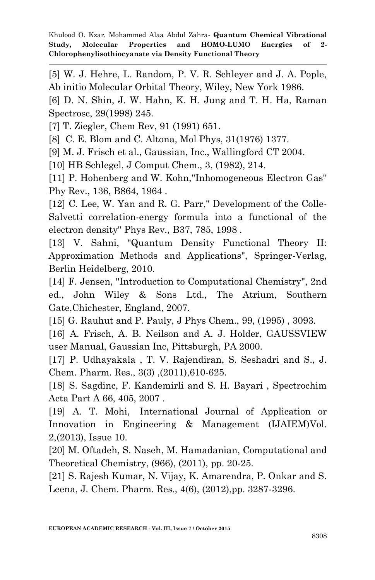[5] W. J. Hehre, L. Random, P. V. R. Schleyer and J. A. Pople, Ab initio Molecular Orbital Theory, Wiley, New York 1986.

[6] D. N. Shin, J. W. Hahn, K. H. Jung and T. H. Ha, Raman Spectrosc, 29(1998) 245.

[7] T. Ziegler, Chem Rev, 91 (1991) 651.

[8] C. E. Blom and C. Altona, Mol Phys, 31(1976) 1377.

[9] M. J. Frisch et al., Gaussian, Inc., Wallingford CT 2004.

[10] HB Schlegel, J Comput Chem., 3, (1982), 214.

[11] P. Hohenberg and W. Kohn,''Inhomogeneous Electron Gas'' Phy Rev., 136, B864, 1964 .

[12] C. Lee, W. Yan and R. G. Parr," Development of the Colle-Salvetti correlation-energy formula into a functional of the electron density'' Phys Rev*.,* B37, 785, 1998 .

[13] V. Sahni, "Quantum Density Functional Theory II: Approximation Methods and Applications", Springer-Verlag, Berlin Heidelberg, 2010.

[14] F. Jensen, "Introduction to Computational Chemistry", 2nd ed., John Wiley & Sons Ltd., The Atrium, Southern Gate,Chichester, England, 2007.

[15] G. Rauhut and P. Pauly, J Phys Chem., 99, (1995) , 3093.

[16] A. Frisch, A. B. Neilson and A. J. Holder, GAUSSVIEW user Manual, Gaussian Inc, Pittsburgh, PA 2000.

[17] P. Udhayakala, T. V. Rajendiran, S. Seshadri and S., J. Chem. Pharm. Res., 3(3) ,(2011),610-625.

[18] S. Sagdinc, F. Kandemirli and S. H. Bayari , Spectrochim Acta Part A 66, 405, 2007 .

[19] A. T. Mohi, International Journal of Application or Innovation in Engineering & Management (IJAIEM)Vol. 2,(2013), Issue 10.

[20] M. Oftadeh, S. Naseh, M. Hamadanian, Computational and Theoretical Chemistry, (966), (2011), pp. 20-25.

[21] S. Rajesh Kumar, N. Vijay, K. Amarendra, P. Onkar and S. Leena, J. Chem. Pharm. Res., 4(6), (2012),pp. 3287-3296.